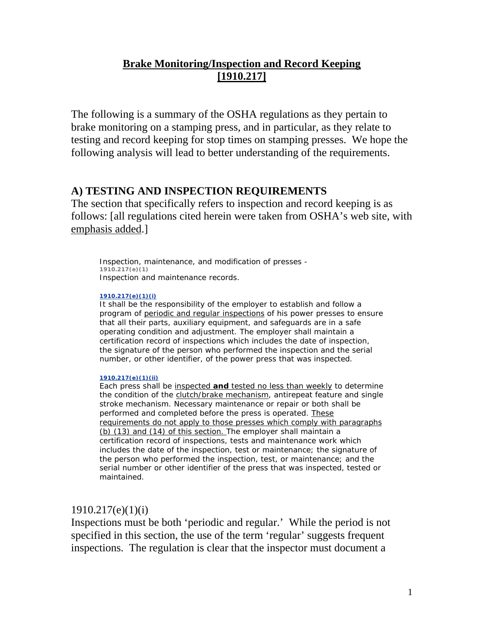# **Brake Monitoring/Inspection and Record Keeping [1910.217]**

The following is a summary of the OSHA regulations as they pertain to brake monitoring on a stamping press, and in particular, as they relate to testing and record keeping for stop times on stamping presses. We hope the following analysis will lead to better understanding of the requirements.

# **A) TESTING AND INSPECTION REQUIREMENTS**

The section that specifically refers to inspection and record keeping is as follows: [all regulations cited herein were taken from OSHA's web site, with emphasis added.]

Inspection, maintenance, and modification of presses - **1910.217(e)(1)** Inspection and maintenance records.

### **1910.217(e)(1)(i)**

It shall be the responsibility of the employer to establish and follow a program of periodic and regular inspections of his power presses to ensure that all their parts, auxiliary equipment, and safeguards are in a safe operating condition and adjustment. The employer shall maintain a certification record of inspections which includes the date of inspection, the signature of the person who performed the inspection and the serial number, or other identifier, of the power press that was inspected.

### **1910.217(e)(1)(ii)**

Each press shall be inspected **and** tested no less than weekly to determine the condition of the clutch/brake mechanism, antirepeat feature and single stroke mechanism. Necessary maintenance or repair or both shall be performed and completed before the press is operated. These requirements do not apply to those presses which comply with paragraphs (b) (13) and (14) of this section. The employer shall maintain a certification record of inspections, tests and maintenance work which includes the date of the inspection, test or maintenance; the signature of the person who performed the inspection, test, or maintenance; and the serial number or other identifier of the press that was inspected, tested or maintained.

# $1910.217(e)(1)(i)$

Inspections must be both 'periodic and regular.' While the period is not specified in this section, the use of the term 'regular' suggests frequent inspections. The regulation is clear that the inspector must document a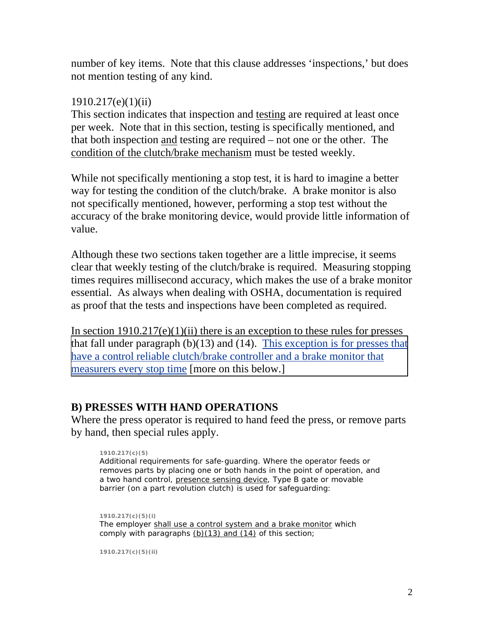number of key items. Note that this clause addresses 'inspections,' but does not mention testing of any kind.

# 1910.217(e)(1)(ii)

This section indicates that inspection and testing are required at least once per week. Note that in this section, testing is specifically mentioned, and that both inspection and testing are required – not one or the other. The condition of the clutch/brake mechanism must be tested weekly.

While not specifically mentioning a stop test, it is hard to imagine a better way for testing the condition of the clutch/brake. A brake monitor is also not specifically mentioned, however, performing a stop test without the accuracy of the brake monitoring device, would provide little information of value.

Although these two sections taken together are a little imprecise, it seems clear that weekly testing of the clutch/brake is required. Measuring stopping times requires millisecond accuracy, which makes the use of a brake monitor essential. As always when dealing with OSHA, documentation is required as proof that the tests and inspections have been completed as required.

In section  $1910.217(e)(1)(ii)$  there is an exception to these rules for presses that fall under paragraph  $(b)(13)$  and  $(14)$ . This exception is for presses that have a control reliable clutch/brake controller and a brake monitor that measurers every stop time [more on this below.]

# **B) PRESSES WITH HAND OPERATIONS**

Where the press operator is required to hand feed the press, or remove parts by hand, then special rules apply.

### **1910.217(c)(5)**

Additional requirements for safe-guarding. Where the operator feeds or removes parts by placing one or both hands in the point of operation, and a two hand control, presence sensing device, Type B gate or movable barrier (on a part revolution clutch) is used for safeguarding:

**1910.217(c)(5)(i)** The employer shall use a control system and a brake monitor which comply with paragraphs  $(b)(13)$  and  $(14)$  of this section;

**1910.217(c)(5)(ii)**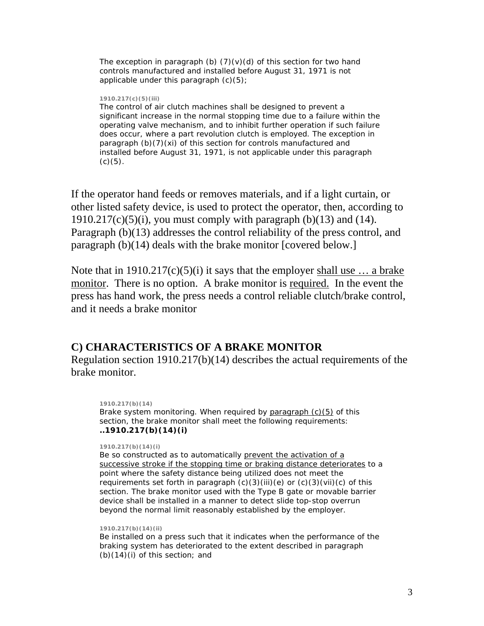The exception in paragraph (b)  $(7)(v)(d)$  of this section for two hand controls manufactured and installed before August 31, 1971 is not applicable under this paragraph (c)(5);

#### **1910.217(c)(5)(iii)**

The control of air clutch machines shall be designed to prevent a significant increase in the normal stopping time due to a failure within the operating valve mechanism, and to inhibit further operation if such failure does occur, where a part revolution clutch is employed. The exception in paragraph (b)(7)(xi) of this section for controls manufactured and installed before August 31, 1971, is not applicable under this paragraph  $(c)(5)$ .

If the operator hand feeds or removes materials, and if a light curtain, or other listed safety device, is used to protect the operator, then, according to 1910.217(c)(5)(i), you must comply with paragraph (b)(13) and (14). Paragraph (b)(13) addresses the control reliability of the press control, and paragraph (b)(14) deals with the brake monitor [covered below.]

Note that in  $1910.217(c)(5)(i)$  it says that the employer shall use ... a brake monitor. There is no option. A brake monitor is required. In the event the press has hand work, the press needs a control reliable clutch/brake control, and it needs a brake monitor

### **C) CHARACTERISTICS OF A BRAKE MONITOR**

Regulation section 1910.217(b)(14) describes the actual requirements of the brake monitor.

**1910.217(b)(14)** Brake system monitoring. When required by  $\frac{1}{2}$  paragraph  $(c)(5)$  of this section, the brake monitor shall meet the following requirements: *..1910.217(b)(14)(i)*

#### **1910.217(b)(14)(i)**

Be so constructed as to automatically prevent the activation of a successive stroke if the stopping time or braking distance deteriorates to a point where the safety distance being utilized does not meet the requirements set forth in paragraph  $(c)(3)(iii)(e)$  or  $(c)(3)(vii)(c)$  of this section. The brake monitor used with the Type B gate or movable barrier device shall be installed in a manner to detect slide top-stop overrun beyond the normal limit reasonably established by the employer.

#### **1910.217(b)(14)(ii)**

Be installed on a press such that it indicates when the performance of the braking system has deteriorated to the extent described in paragraph  $(b)(14)(i)$  of this section; and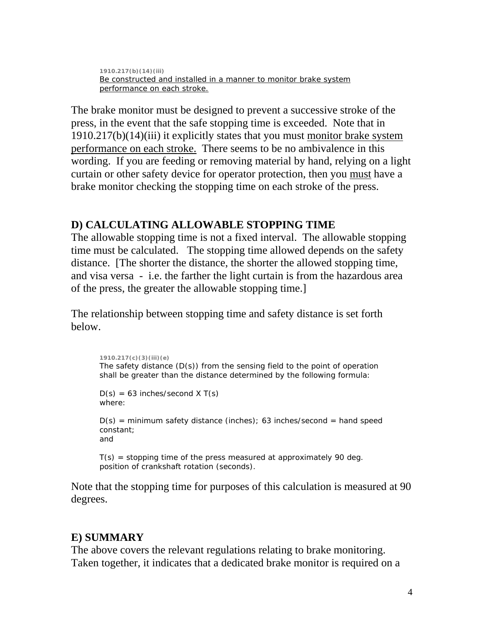**1910.217(b)(14)(iii)** Be constructed and installed in a manner to monitor brake system performance on each stroke.

The brake monitor must be designed to prevent a successive stroke of the press, in the event that the safe stopping time is exceeded. Note that in 1910.217(b)(14)(iii) it explicitly states that you must monitor brake system performance on each stroke. There seems to be no ambivalence in this wording. If you are feeding or removing material by hand, relying on a light curtain or other safety device for operator protection, then you must have a brake monitor checking the stopping time on each stroke of the press.

# **D) CALCULATING ALLOWABLE STOPPING TIME**

The allowable stopping time is not a fixed interval. The allowable stopping time must be calculated. The stopping time allowed depends on the safety distance. [The shorter the distance, the shorter the allowed stopping time, and visa versa - i.e. the farther the light curtain is from the hazardous area of the press, the greater the allowable stopping time.]

The relationship between stopping time and safety distance is set forth below.

```
1910.217(c)(3)(iii)(e) 
The safety distance (D(s)) from the sensing field to the point of operation
shall be greater than the distance determined by the following formula: 
D(s) = 63 inches/second X T(s)
where:
```
 $D(s)$  = minimum safety distance (inches); 63 inches/second = hand speed constant; and

 $T(s)$  = stopping time of the press measured at approximately 90 deg. position of crankshaft rotation (seconds).

Note that the stopping time for purposes of this calculation is measured at 90 degrees.

# **E) SUMMARY**

The above covers the relevant regulations relating to brake monitoring. Taken together, it indicates that a dedicated brake monitor is required on a